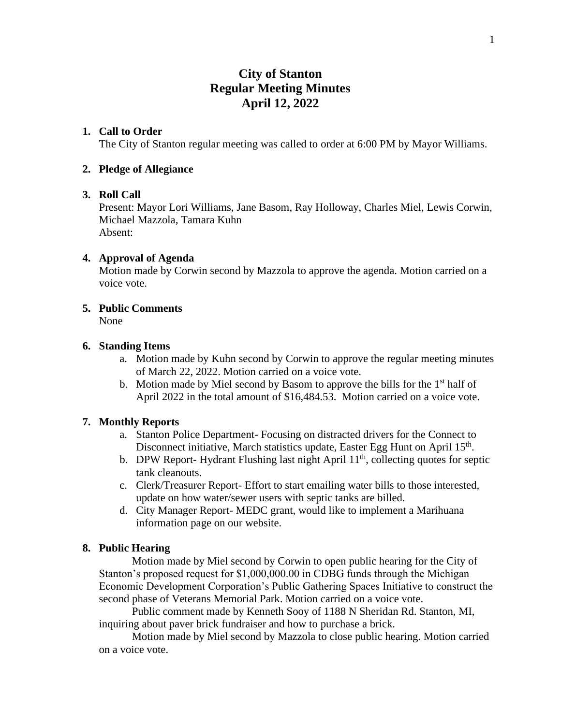# **City of Stanton Regular Meeting Minutes April 12, 2022**

# **1. Call to Order**

The City of Stanton regular meeting was called to order at 6:00 PM by Mayor Williams.

## **2. Pledge of Allegiance**

## **3. Roll Call**

Present: Mayor Lori Williams, Jane Basom, Ray Holloway, Charles Miel, Lewis Corwin, Michael Mazzola, Tamara Kuhn Absent:

## **4. Approval of Agenda**

Motion made by Corwin second by Mazzola to approve the agenda. Motion carried on a voice vote.

# **5. Public Comments**

None

## **6. Standing Items**

- a. Motion made by Kuhn second by Corwin to approve the regular meeting minutes of March 22, 2022. Motion carried on a voice vote.
- b. Motion made by Miel second by Basom to approve the bills for the  $1<sup>st</sup>$  half of April 2022 in the total amount of \$16,484.53. Motion carried on a voice vote.

# **7. Monthly Reports**

- a. Stanton Police Department- Focusing on distracted drivers for the Connect to Disconnect initiative, March statistics update, Easter Egg Hunt on April 15<sup>th</sup>.
- b. DPW Report-Hydrant Flushing last night April  $11<sup>th</sup>$ , collecting quotes for septic tank cleanouts.
- c. Clerk/Treasurer Report- Effort to start emailing water bills to those interested, update on how water/sewer users with septic tanks are billed.
- d. City Manager Report- MEDC grant, would like to implement a Marihuana information page on our website.

#### **8. Public Hearing**

Motion made by Miel second by Corwin to open public hearing for the City of Stanton's proposed request for \$1,000,000.00 in CDBG funds through the Michigan Economic Development Corporation's Public Gathering Spaces Initiative to construct the second phase of Veterans Memorial Park. Motion carried on a voice vote.

Public comment made by Kenneth Sooy of 1188 N Sheridan Rd. Stanton, MI, inquiring about paver brick fundraiser and how to purchase a brick.

Motion made by Miel second by Mazzola to close public hearing. Motion carried on a voice vote.